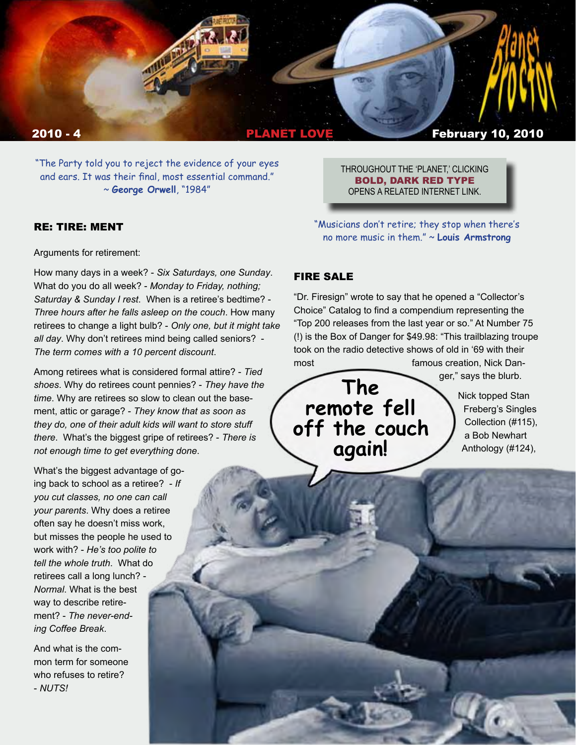

"The Party told you to reject the evidence of your eyes and ears. It was their final, most essential command." ~ **George Orwell**, "1984"

#### RE: TIRE: MENT

Arguments for retirement:

How many days in a week? - *Six Saturdays, one Sunday*. What do you do all week? - *Monday to Friday, nothing; Saturday & Sunday I rest*. When is a retiree's bedtime? - *Three hours after he falls asleep on the couch*. How many retirees to change a light bulb? - *Only one, but it might take all day*. Why don't retirees mind being called seniors? - *The term comes with a 10 percent discount*.

Among retirees what is considered formal attire? - *Tied shoes*. Why do retirees count pennies? - *They have the time*. Why are retirees so slow to clean out the basement, attic or garage? - *They know that as soon as they do, one of their adult kids will want to store stuff there*. What's the biggest gripe of retirees? - *There is not enough time to get everything done*.

What's the biggest advantage of going back to school as a retiree? - *If you cut classes, no one can call your parents*. Why does a retiree often say he doesn't miss work, but misses the people he used to work with? - *He's too polite to tell the whole truth*. What do retirees call a long lunch? - *Normal*. What is the best way to describe retirement? - *The never-ending Coffee Break*.

And what is the common term for someone who refuses to retire? - *NUTS!*

THROUGHOUT THE 'PLANET,' CLICKING BOLD, DARK RED TYPE OPENS A RELATED INTERNET LINK.

"Musicians don't retire; they stop when there's no more music in them." ~ **Louis Armstrong** 

## FIRE SALE

"Dr. Firesign" wrote to say that he opened a "Collector's Choice" Catalog to find a compendium representing the "Top 200 releases from the last year or so." At Number 75 (!) is the Box of Danger for \$49.98: "This trailblazing troupe took on the radio detective shows of old in '69 with their most most famous creation. Nick Dan-

ger," says the blurb.



Nick topped Stan Freberg's Singles Collection (#115), a Bob Newhart Anthology (#124),

n *CONTINUED*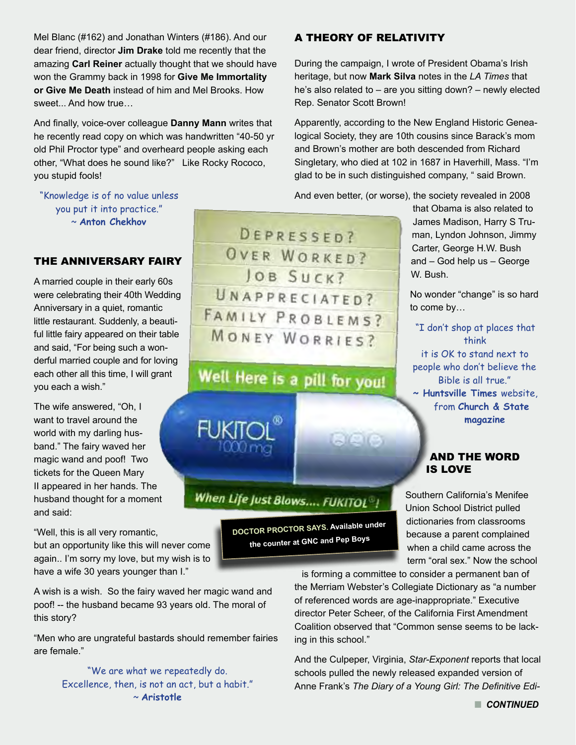Mel Blanc (#162) and Jonathan Winters (#186). And our dear friend, director **Jim Drake** told me recently that the amazing **Carl Reiner** actually thought that we should have won the Grammy back in 1998 for **Give Me Immortality or Give Me Death** instead of him and Mel Brooks. How sweet... And how true…

And finally, voice-over colleague **Danny Mann** writes that he recently read copy on which was handwritten "40-50 yr old Phil Proctor type" and overheard people asking each other, "What does he sound like?" Like Rocky Rococo, you stupid fools!

## "Knowledge is of no value unless you put it into practice." ~ **Anton Chekhov**

# THE ANNIVERSARY FAIRY

A married couple in their early 60s were celebrating their 40th Wedding Anniversary in a quiet, romantic little restaurant. Suddenly, a beautiful little fairy appeared on their table and said, "For being such a wonderful married couple and for loving each other all this time, I will grant you each a wish."

The wife answered, "Oh, I want to travel around the world with my darling husband." The fairy waved her magic wand and poof! Two tickets for the Queen Mary II appeared in her hands. The husband thought for a moment and said:

"Well, this is all very romantic, but an opportunity like this will never come again.. I'm sorry my love, but my wish is to have a wife 30 years younger than I."

A wish is a wish. So the fairy waved her magic wand and poof! -- the husband became 93 years old. The moral of this story?

"Men who are ungrateful bastards should remember fairies are female."

> "We are what we repeatedly do. Excellence, then, is not an act, but a habit." ~ **Aristotle**

A THEORY OF RELATIVITY

During the campaign, I wrote of President Obama's Irish heritage, but now **Mark Silva** notes in the *LA Times* that he's also related to – are you sitting down? – newly elected Rep. Senator Scott Brown!

Apparently, according to the New England Historic Genealogical Society, they are 10th cousins since Barack's mom and Brown's mother are both descended from Richard Singletary, who died at 102 in 1687 in Haverhill, Mass. "I'm glad to be in such distinguished company, " said Brown.

And even better, (or worse), the society revealed in 2008

that Obama is also related to James Madison, Harry S Truman, Lyndon Johnson, Jimmy Carter, George H.W. Bush and – God help us – George W. Bush.

No wonder "change" is so hard to come by…

"I don't shop at places that think it is OK to stand next to people who don't believe the Bible is all true." **~ Huntsville Times** website, from **Church & State magazine**

### AND THE WORD IS LOVE

Southern California's Menifee Union School District pulled dictionaries from classrooms because a parent complained when a child came across the term "oral sex." Now the school

is forming a committee to consider a permanent ban of the Merriam Webster's Collegiate Dictionary as "a number of referenced words are age-inappropriate." Executive director Peter Scheer, of the California First Amendment Coalition observed that "Common sense seems to be lacking in this school."

And the Culpeper, Virginia, *Star-Exponent* reports that local schools pulled the newly released expanded version of Anne Frank's *The Diary of a Young Girl: The Definitive Edi-*



Well Here is a pill for you!

When Life Just Blows.... FUKITOL<sup>®</sup>!

**DOCTOR PROCTOR SAYS. Available under the counter at GNC and Pep Boys**

**AVAIA**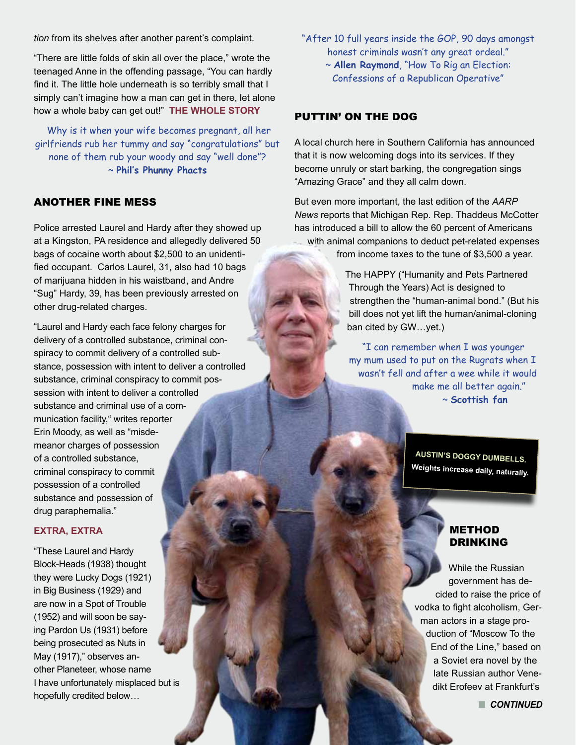*tion* from its shelves after another parent's complaint.

"There are little folds of skin all over the place," wrote the teenaged Anne in the offending passage, "You can hardly find it. The little hole underneath is so terribly small that I simply can't imagine how a man can get in there, let alone how a whole baby can get out!" **[THE WHOLE STORY](http://rawstory.com/2010/01/school-district-pulls-anne-franks-diary/)**

 Why is it when your wife becomes pregnant, all her girlfriends rub her tummy and say "congratulations" but none of them rub your woody and say "well done"? ~ **Phil's Phunny Phacts** 

# ANOTHER FINE MESS

Police arrested Laurel and Hardy after they showed up at a Kingston, PA residence and allegedly delivered 50 bags of cocaine worth about \$2,500 to an unidentified occupant. Carlos Laurel, 31, also had 10 bags of marijuana hidden in his waistband, and Andre "Sug" Hardy, 39, has been previously arrested on other drug-related charges.

"Laurel and Hardy each face felony charges for delivery of a controlled substance, criminal conspiracy to commit delivery of a controlled substance, possession with intent to deliver a controlled substance, criminal conspiracy to commit possession with intent to deliver a controlled substance and criminal use of a communication facility," writes reporter Erin Moody, as well as "misdemeanor charges of possession of a controlled substance, criminal conspiracy to commit possession of a controlled substance and possession of drug paraphernalia."

#### **[EXTRA, EXTRA](http://citizensvoice.com/news/laurel-hardy-jailed-on-drug-charges-1.559215)**

"These Laurel and Hardy Block-Heads (1938) thought they were Lucky Dogs (1921) in Big Business (1929) and are now in a Spot of Trouble (1952) and will soon be saying Pardon Us (1931) before being prosecuted as Nuts in May (1917)," observes another Planeteer, whose name I have unfortunately misplaced but is hopefully credited below…

"After 10 full years inside the GOP, 90 days amongst honest criminals wasn't any great ordeal."

~ **Allen Raymond**, "How To Rig an Election: Confessions of a Republican Operative"

## PUTTIN' ON THE DOG

A local church here in Southern California has announced that it is now welcoming dogs into its services. If they become unruly or start barking, the congregation sings "Amazing Grace" and they all calm down.

But even more important, the last edition of the *AARP News* reports that Michigan Rep. Rep. Thaddeus McCotter has introduced a bill to allow the 60 percent of Americans with animal companions to deduct pet-related expenses from income taxes to the tune of \$3,500 a year.

> The HAPPY ("Humanity and Pets Partnered Through the Years) Act is designed to strengthen the "human-animal bond." (But his bill does not yet lift the human/animal-cloning ban cited by GW…yet.)

"I can remember when I was younger my mum used to put on the Rugrats when I wasn't fell and after a wee while it would make me all better again." ~ **Scottish fan**

> **AUSTIN'S DOGGY DUMBELLS. Weights increase daily, naturally.**

### METHOD DRINKING

While the Russian government has decided to raise the price of vodka to fight alcoholism, German actors in a stage production of "Moscow To the End of the Line," based on a Soviet era novel by the late Russian author Venedikt Erofeev at Frankfurt's

**n** CONTINUED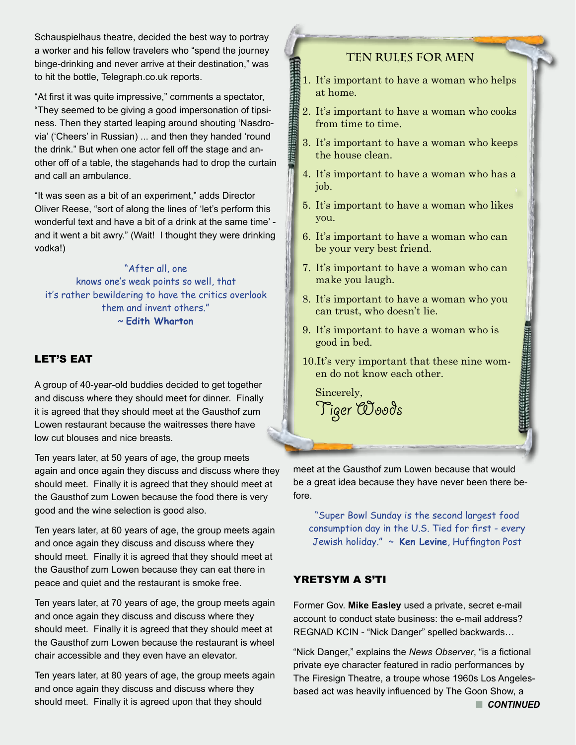Schauspielhaus theatre, decided the best way to portray a worker and his fellow travelers who "spend the journey binge-drinking and never arrive at their destination," was to hit the bottle, Telegraph.co.uk reports.

"At first it was quite impressive," comments a spectator, "They seemed to be giving a good impersonation of tipsiness. Then they started leaping around shouting 'Nasdrovia' ('Cheers' in Russian) ... and then they handed 'round the drink." But when one actor fell off the stage and another off of a table, the stagehands had to drop the curtain and call an ambulance.

"It was seen as a bit of an experiment," adds Director Oliver Reese, "sort of along the lines of 'let's perform this wonderful text and have a bit of a drink at the same time' and it went a bit awry." (Wait! I thought they were drinking vodka!)

"After all, one knows one's weak points so well, that it's rather bewildering to have the critics overlook them and invent others." ~ **Edith Wharton**

# LET'S EAT

A group of 40-year-old buddies decided to get together and discuss where they should meet for dinner. Finally it is agreed that they should meet at the Gausthof zum Lowen restaurant because the waitresses there have low cut blouses and nice breasts.

Ten years later, at 50 years of age, the group meets again and once again they discuss and discuss where they should meet. Finally it is agreed that they should meet at the Gausthof zum Lowen because the food there is very good and the wine selection is good also.

Ten years later, at 60 years of age, the group meets again and once again they discuss and discuss where they should meet. Finally it is agreed that they should meet at the Gausthof zum Lowen because they can eat there in peace and quiet and the restaurant is smoke free.

Ten years later, at 70 years of age, the group meets again and once again they discuss and discuss where they should meet. Finally it is agreed that they should meet at the Gausthof zum Lowen because the restaurant is wheel chair accessible and they even have an elevator.

Ten years later, at 80 years of age, the group meets again and once again they discuss and discuss where they should meet. Finally it is agreed upon that they should

# **TEN RULES FOR MEN**

- 1. It's important to have a woman who helps at home.
- 2. It's important to have a woman who cooks from time to time.
- 3. It's important to have a woman who keeps the house clean.
- 4. It's important to have a woman who has a job.
- 5. It's important to have a woman who likes you.
- 6. It's important to have a woman who can be your very best friend.
- 7. It's important to have a woman who can make you laugh.
- 8. It's important to have a woman who you can trust, who doesn't lie.
- 9. It's important to have a woman who is good in bed.
- 10.It's very important that these nine women do not know each other.

 Sincerely, Tiger Woods

meet at the Gausthof zum Lowen because that would be a great idea because they have never been there before.

"Super Bowl Sunday is the second largest food consumption day in the U.S. Tied for first - every Jewish holiday." ~ **Ken Levine**, Huffington Post

# YRETSYM A S'TI

Former Gov. **Mike Easley** used a private, secret e-mail account to conduct state business: the e-mail address? REGNAD KCIN - "Nick Danger" spelled backwards…

"Nick Danger," explains the *News Observer*, "is a fictional private eye character featured in radio performances by The Firesign Theatre, a troupe whose 1960s Los Angelesbased act was heavily influenced by The Goon Show, a